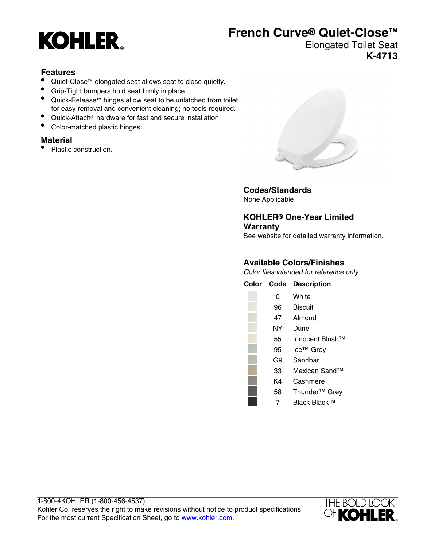

## **French Curve® Quiet-Close™**

#### Elongated Toilet Seat **K-4713**

#### **Features**

- Quiet-Close™ elongated seat allows seat to close quietly.
- Grip-Tight bumpers hold seat firmly in place.
- Quick-Release™ hinges allow seat to be unlatched from toilet for easy removal and convenient cleaning; no tools required.
- Quick-Attach® hardware for fast and secure installation.
- Color-matched plastic hinges.

#### **Material**

• Plastic construction.



**Codes/Standards** None Applicable

**KOHLER® One-Year Limited Warranty** See website for detailed warranty information.

#### **Available Colors/Finishes**

Color tiles intended for reference only.

| Color Code | <b>Description</b>          |
|------------|-----------------------------|
| 0          | White                       |
| 96         | <b>Biscuit</b>              |
| 47         | Almond                      |
| NΥ         | Dune                        |
| 55         | Innocent Blush <sup>™</sup> |
| 95         | Ice <sup>™</sup> Grey       |
| G9         | Sandbar                     |
| 33         | Mexican Sand <sup>™</sup>   |
| K4         | Cashmere                    |
| 58         | Thunder <sup>™</sup> Grey   |
| 7          | Black Black™                |